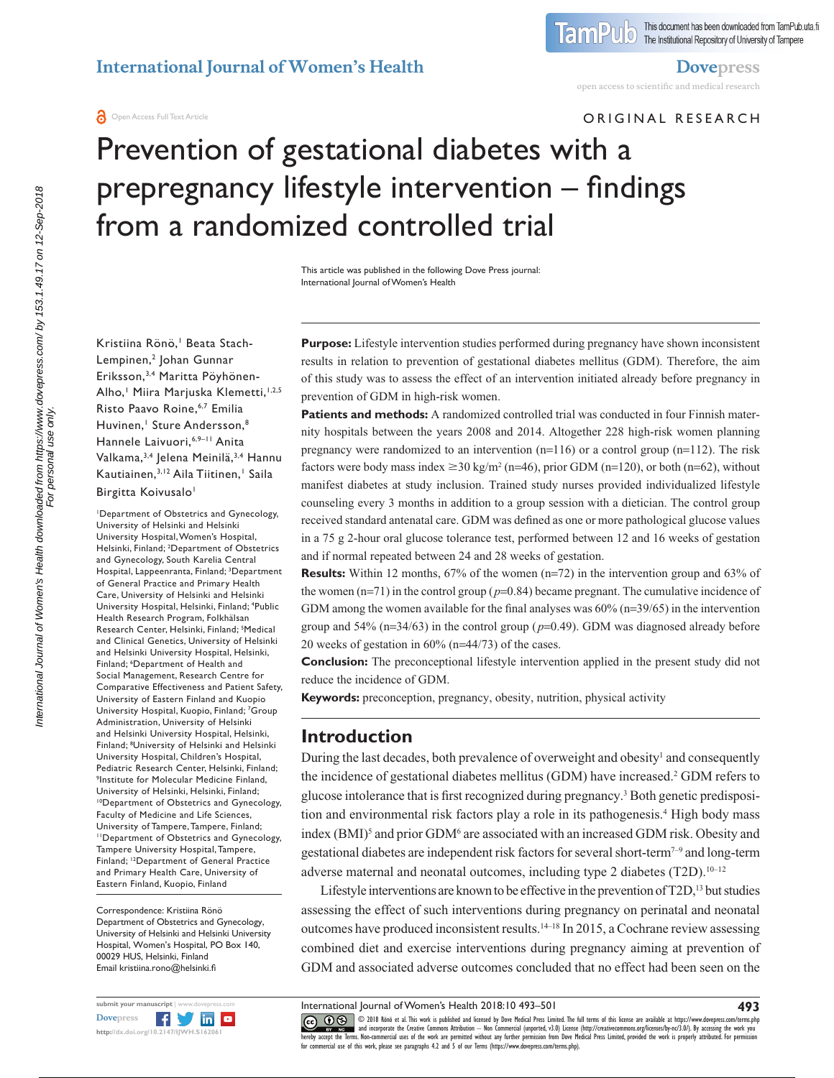open access to scientific and medical research

ORIGINAL RESEARCH

# Prevention of gestational diabetes with a prepregnancy lifestyle intervention – findings from a randomized controlled trial

This article was published in the following Dove Press journal: International Journal of Women's Health

Kristiina Rönö,<sup>1</sup> Beata Stach-Lempinen,2 Johan Gunnar Eriksson,3,4 Maritta Pöyhönen-Alho,' Miira Marjuska Klemetti,'<sup>,2,5</sup> Risto Paavo Roine,<sup>6,7</sup> Emilia Huvinen,<sup>1</sup> Sture Andersson,<sup>8</sup> Hannele Laivuori,<sup>6,9-11</sup> Anita Valkama, 3,4 Jelena Meinilä, 3,4 Hannu Kautiainen,<sup>3,12</sup> Aila Tiitinen,<sup>1</sup> Saila

#### Birgitta Koivusalo<sup>1</sup>

1 Department of Obstetrics and Gynecology, University of Helsinki and Helsinki University Hospital, Women's Hospital, Helsinki, Finland; 2 Department of Obstetrics and Gynecology, South Karelia Central Hospital, Lappeenranta, Finland; <sup>3</sup>Department of General Practice and Primary Health Care, University of Helsinki and Helsinki University Hospital, Helsinki, Finland; 4 Public Health Research Program, Folkhälsan Research Center, Helsinki, Finland; <sup>5</sup>Medical and Clinical Genetics, University of Helsinki and Helsinki University Hospital, Helsinki, Finland; <sup>6</sup>Department of Health and Social Management, Research Centre for Comparative Effectiveness and Patient Safety, University of Eastern Finland and Kuopio University Hospital, Kuopio, Finland; <sup>7</sup>Group Administration, University of Helsinki and Helsinki University Hospital, Helsinki, Finland; 8 University of Helsinki and Helsinki University Hospital, Children's Hospital, Pediatric Research Center, Helsinki, Finland; <sup>9</sup>Institute for Molecular Medicine Finland, University of Helsinki, Helsinki, Finland; 10Department of Obstetrics and Gynecology, Faculty of Medicine and Life Sciences, University of Tampere, Tampere, Finland; 11Department of Obstetrics and Gynecology, Tampere University Hospital, Tampere, Finland; 12Department of General Practice and Primary Health Care, University of Eastern Finland, Kuopio, Finland

Correspondence: Kristiina Rönö Department of Obstetrics and Gynecology, University of Helsinki and Helsinki University Hospital, Women's Hospital, PO Box 140, 00029 HUS, Helsinki, Finland Email [kristiina.rono@helsinki.fi](mailto:kristiina.rono@helsinki.fi)



**Purpose:** Lifestyle intervention studies performed during pregnancy have shown inconsistent results in relation to prevention of gestational diabetes mellitus (GDM). Therefore, the aim of this study was to assess the effect of an intervention initiated already before pregnancy in prevention of GDM in high-risk women.

**Patients and methods:** A randomized controlled trial was conducted in four Finnish maternity hospitals between the years 2008 and 2014. Altogether 228 high-risk women planning pregnancy were randomized to an intervention  $(n=116)$  or a control group  $(n=112)$ . The risk factors were body mass index  $\geq 30$  kg/m<sup>2</sup> (n=46), prior GDM (n=120), or both (n=62), without manifest diabetes at study inclusion. Trained study nurses provided individualized lifestyle counseling every 3 months in addition to a group session with a dietician. The control group received standard antenatal care. GDM was defined as one or more pathological glucose values in a 75 g 2-hour oral glucose tolerance test, performed between 12 and 16 weeks of gestation and if normal repeated between 24 and 28 weeks of gestation.

**Results:** Within 12 months, 67% of the women (n=72) in the intervention group and 63% of the women  $(n=71)$  in the control group ( $p=0.84$ ) became pregnant. The cumulative incidence of GDM among the women available for the final analyses was  $60\%$  (n=39/65) in the intervention group and 54% (n=34/63) in the control group (*p*=0.49). GDM was diagnosed already before 20 weeks of gestation in 60% (n=44/73) of the cases.

**Conclusion:** The preconceptional lifestyle intervention applied in the present study did not reduce the incidence of GDM.

**Keywords:** preconception, pregnancy, obesity, nutrition, physical activity

#### **Introduction**

During the last decades, both prevalence of overweight and obesity<sup>1</sup> and consequently the incidence of gestational diabetes mellitus (GDM) have increased.<sup>2</sup> GDM refers to glucose intolerance that is first recognized during pregnancy.3 Both genetic predisposition and environmental risk factors play a role in its pathogenesis.<sup>4</sup> High body mass index (BMI)<sup>5</sup> and prior GDM<sup>6</sup> are associated with an increased GDM risk. Obesity and gestational diabetes are independent risk factors for several short-term7–9 and long-term adverse maternal and neonatal outcomes, including type 2 diabetes (T2D).<sup>10-12</sup>

Lifestyle interventions are known to be effective in the prevention of T2D,<sup>13</sup> but studies assessing the effect of such interventions during pregnancy on perinatal and neonatal outcomes have produced inconsistent results.14–18 In 2015, a Cochrane review assessing combined diet and exercise interventions during pregnancy aiming at prevention of GDM and associated adverse outcomes concluded that no effect had been seen on the

International Journal of Women's Health 2018:10 493–501

CCC 1 © 2018 Rono et al. This work is published and licensed by Dove Medical Press Limited. The full terms of this license are available at<https://www.dovepress.com/terms.php><br>[hereby accept the Terms](http://www.dovepress.com/permissions.php). Non-commercial uses o

**493**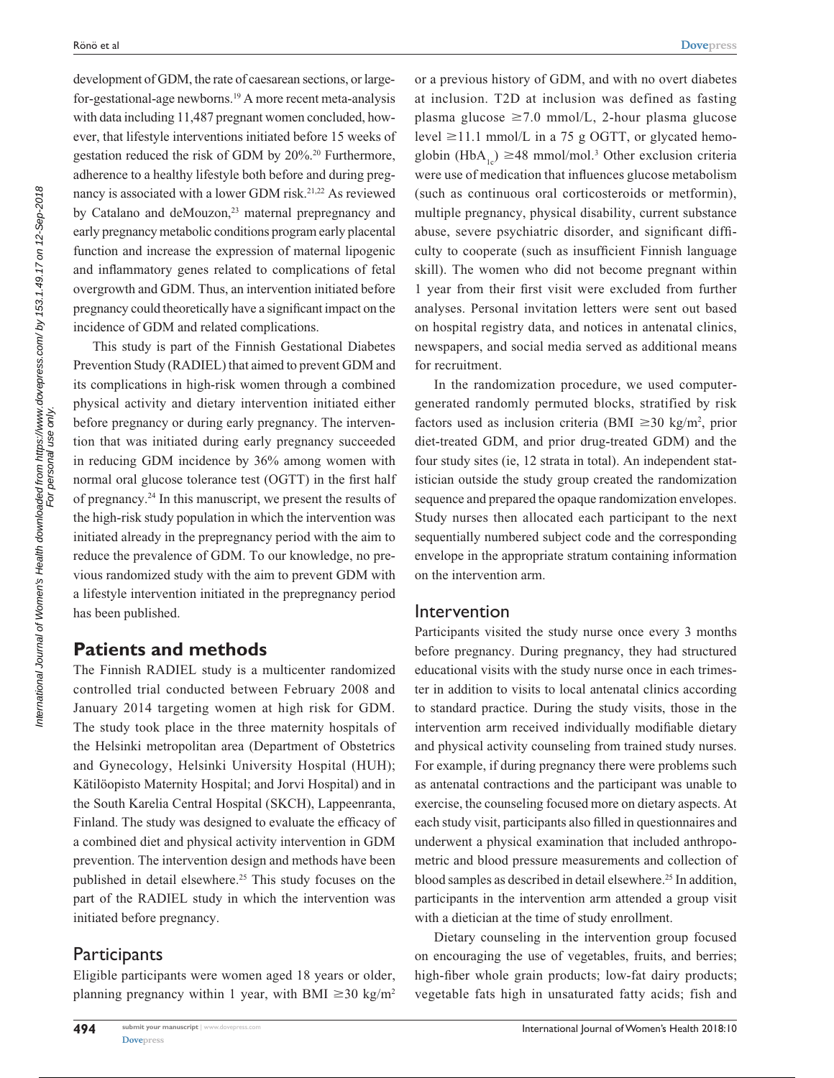international Journal of Women's Health downloaded from https://www.dovepress.com/ by 153.1.49.17 on 12-Sep-2018<br>For personal use only. International Journal of Women's Health downloaded from https://www.dovepress.com/ by 153.1.49.17 on 12-Sep-2018 For personal use only. development of GDM, the rate of caesarean sections, or largefor-gestational-age newborns.19 A more recent meta-analysis with data including 11,487 pregnant women concluded, however, that lifestyle interventions initiated before 15 weeks of gestation reduced the risk of GDM by 20%.<sup>20</sup> Furthermore, adherence to a healthy lifestyle both before and during pregnancy is associated with a lower GDM risk.<sup>21,22</sup> As reviewed by Catalano and deMouzon,<sup>23</sup> maternal prepregnancy and early pregnancy metabolic conditions program early placental function and increase the expression of maternal lipogenic and inflammatory genes related to complications of fetal overgrowth and GDM. Thus, an intervention initiated before pregnancy could theoretically have a significant impact on the incidence of GDM and related complications.

This study is part of the Finnish Gestational Diabetes Prevention Study (RADIEL) that aimed to prevent GDM and its complications in high-risk women through a combined physical activity and dietary intervention initiated either before pregnancy or during early pregnancy. The intervention that was initiated during early pregnancy succeeded in reducing GDM incidence by 36% among women with normal oral glucose tolerance test (OGTT) in the first half of pregnancy.24 In this manuscript, we present the results of the high-risk study population in which the intervention was initiated already in the prepregnancy period with the aim to reduce the prevalence of GDM. To our knowledge, no previous randomized study with the aim to prevent GDM with a lifestyle intervention initiated in the prepregnancy period has been published.

## **Patients and methods**

The Finnish RADIEL study is a multicenter randomized controlled trial conducted between February 2008 and January 2014 targeting women at high risk for GDM. The study took place in the three maternity hospitals of the Helsinki metropolitan area (Department of Obstetrics and Gynecology, Helsinki University Hospital (HUH); Kätilöopisto Maternity Hospital; and Jorvi Hospital) and in the South Karelia Central Hospital (SKCH), Lappeenranta, Finland. The study was designed to evaluate the efficacy of a combined diet and physical activity intervention in GDM prevention. The intervention design and methods have been published in detail elsewhere.<sup>25</sup> This study focuses on the part of the RADIEL study in which the intervention was initiated before pregnancy.

## **Participants**

Eligible participants were women aged 18 years or older, planning pregnancy within 1 year, with BMI  $\geq 30 \text{ kg/m}^2$  or a previous history of GDM, and with no overt diabetes at inclusion. T2D at inclusion was defined as fasting plasma glucose  $\geq 7.0$  mmol/L, 2-hour plasma glucose level  $\geq$ 11.1 mmol/L in a 75 g OGTT, or glycated hemoglobin (HbA<sub>1c</sub>)  $\geq$ 48 mmol/mol.<sup>3</sup> Other exclusion criteria were use of medication that influences glucose metabolism (such as continuous oral corticosteroids or metformin), multiple pregnancy, physical disability, current substance abuse, severe psychiatric disorder, and significant difficulty to cooperate (such as insufficient Finnish language skill). The women who did not become pregnant within 1 year from their first visit were excluded from further analyses. Personal invitation letters were sent out based on hospital registry data, and notices in antenatal clinics, newspapers, and social media served as additional means for recruitment.

In the randomization procedure, we used computergenerated randomly permuted blocks, stratified by risk factors used as inclusion criteria (BMI  $\geq$ 30 kg/m<sup>2</sup>, prior diet-treated GDM, and prior drug-treated GDM) and the four study sites (ie, 12 strata in total). An independent statistician outside the study group created the randomization sequence and prepared the opaque randomization envelopes. Study nurses then allocated each participant to the next sequentially numbered subject code and the corresponding envelope in the appropriate stratum containing information on the intervention arm.

#### Intervention

Participants visited the study nurse once every 3 months before pregnancy. During pregnancy, they had structured educational visits with the study nurse once in each trimester in addition to visits to local antenatal clinics according to standard practice. During the study visits, those in the intervention arm received individually modifiable dietary and physical activity counseling from trained study nurses. For example, if during pregnancy there were problems such as antenatal contractions and the participant was unable to exercise, the counseling focused more on dietary aspects. At each study visit, participants also filled in questionnaires and underwent a physical examination that included anthropometric and blood pressure measurements and collection of blood samples as described in detail elsewhere.25 In addition, participants in the intervention arm attended a group visit with a dietician at the time of study enrollment.

Dietary counseling in the intervention group focused on encouraging the use of vegetables, fruits, and berries; high-fiber whole grain products; low-fat dairy products; vegetable fats high in unsaturated fatty acids; fish and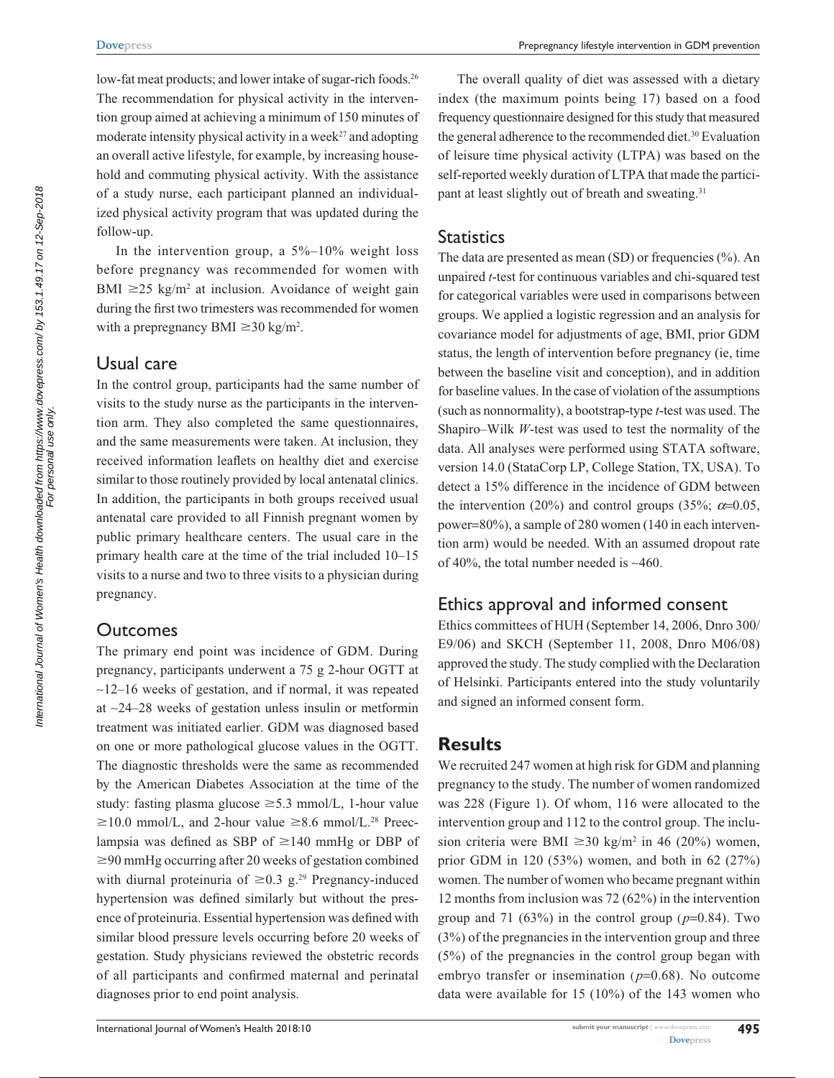low-fat meat products; and lower intake of sugar-rich foods.<sup>26</sup> The recommendation for physical activity in the intervention group aimed at achieving a minimum of 150 minutes of moderate intensity physical activity in a week $^{27}$  and adopting an overall active lifestyle, for example, by increasing household and commuting physical activity. With the assistance of a study nurse, each participant planned an individualized physical activity program that was updated during the follow-up.

In the intervention group, a  $5\%-10\%$  weight loss before pregnancy was recommended for women with BMI  $\geq$ 25 kg/m<sup>2</sup> at inclusion. Avoidance of weight gain during the first two trimesters was recommended for women with a prepregnancy BMI  $\geq$ 30 kg/m<sup>2</sup>.

## Usual care

In the control group, participants had the same number of visits to the study nurse as the participants in the intervention arm. They also completed the same questionnaires, and the same measurements were taken. At inclusion, they received information leaflets on healthy diet and exercise similar to those routinely provided by local antenatal clinics. In addition, the participants in both groups received usual antenatal care provided to all Finnish pregnant women by public primary healthcare centers. The usual care in the primary health care at the time of the trial included 10–15 visits to a nurse and two to three visits to a physician during pregnancy.

#### **Outcomes**

The primary end point was incidence of GDM. During pregnancy, participants underwent a 75 g 2-hour OGTT at ~12–16 weeks of gestation, and if normal, it was repeated at ~24–28 weeks of gestation unless insulin or metformin treatment was initiated earlier. GDM was diagnosed based on one or more pathological glucose values in the OGTT. The diagnostic thresholds were the same as recommended by the American Diabetes Association at the time of the study: fasting plasma glucose  $\geq 5.3$  mmol/L, 1-hour value  $\geq$ 10.0 mmol/L, and 2-hour value  $\geq$ 8.6 mmol/L.<sup>28</sup> Preeclampsia was defined as SBP of  $\geq$ 140 mmHg or DBP of  $\geq$ 90 mmHg occurring after 20 weeks of gestation combined with diurnal proteinuria of  $\geq 0.3$  g.<sup>29</sup> Pregnancy-induced hypertension was defined similarly but without the presence of proteinuria. Essential hypertension was defined with similar blood pressure levels occurring before 20 weeks of gestation. Study physicians reviewed the obstetric records of all participants and confirmed maternal and perinatal diagnoses prior to end point analysis.

The overall quality of diet was assessed with a dietary index (the maximum points being 17) based on a food frequency questionnaire designed for this study that measured the general adherence to the recommended diet.<sup>30</sup> Evaluation of leisure time physical activity (LTPA) was based on the self-reported weekly duration of LTPA that made the participant at least slightly out of breath and sweating.<sup>31</sup>

#### **Statistics**

The data are presented as mean (SD) or frequencies (%). An unpaired *t*-test for continuous variables and chi-squared test for categorical variables were used in comparisons between groups. We applied a logistic regression and an analysis for covariance model for adjustments of age, BMI, prior GDM status, the length of intervention before pregnancy (ie, time between the baseline visit and conception), and in addition for baseline values. In the case of violation of the assumptions (such as nonnormality), a bootstrap-type *t*-test was used. The Shapiro–Wilk *W*-test was used to test the normality of the data. All analyses were performed using STATA software, version 14.0 (StataCorp LP, College Station, TX, USA). To detect a 15% difference in the incidence of GDM between the intervention (20%) and control groups (35%;  $\alpha$ =0.05, power=80%), a sample of 280 women (140 in each intervention arm) would be needed. With an assumed dropout rate of 40%, the total number needed is ~460.

#### Ethics approval and informed consent

Ethics committees of HUH (September 14, 2006, Dnro 300/ E9/06) and SKCH (September 11, 2008, Dnro M06/08) approved the study. The study complied with the Declaration of Helsinki. Participants entered into the study voluntarily and signed an informed consent form.

#### **Results**

We recruited 247 women at high risk for GDM and planning pregnancy to the study. The number of women randomized was 228 (Figure 1). Of whom, 116 were allocated to the intervention group and 112 to the control group. The inclusion criteria were BMI  $\geq 30$  kg/m<sup>2</sup> in 46 (20%) women, prior GDM in 120 (53%) women, and both in 62 (27%) women. The number of women who became pregnant within 12 months from inclusion was 72 (62%) in the intervention group and 71 (63%) in the control group ( $p=0.84$ ). Two (3%) of the pregnancies in the intervention group and three (5%) of the pregnancies in the control group began with embryo transfer or insemination (*p*=0.68). No outcome data were available for 15 (10%) of the 143 women who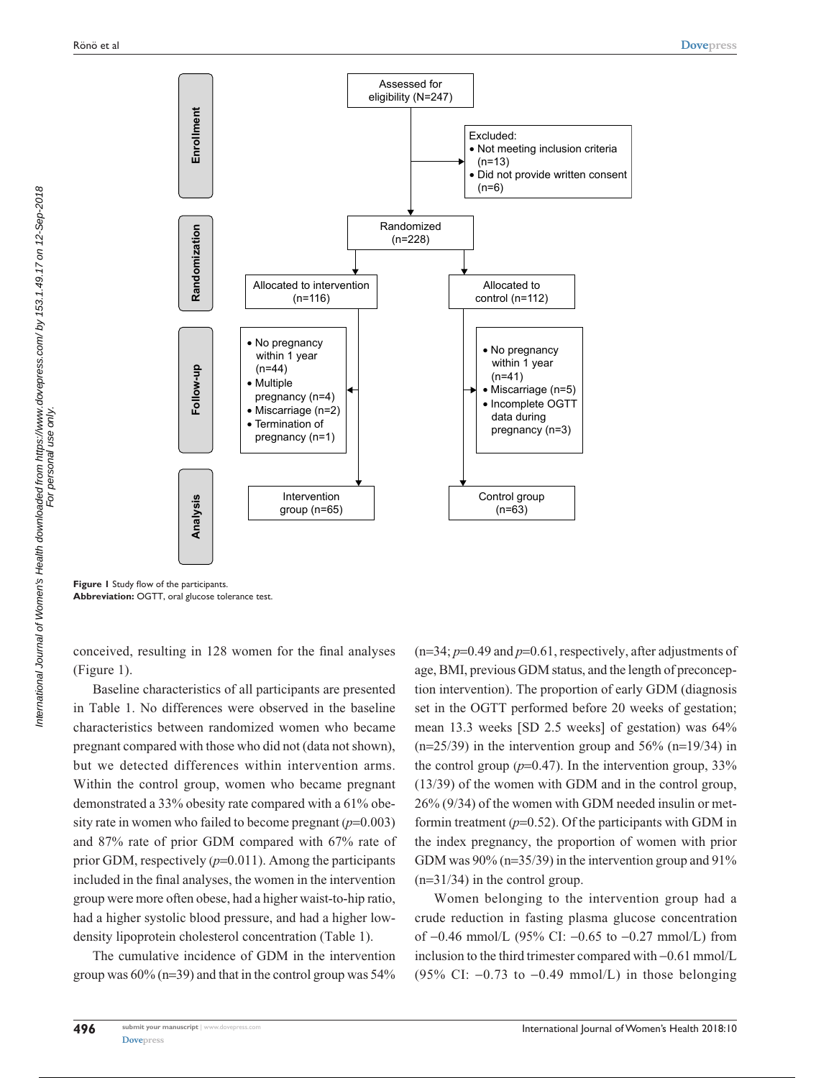

**Figure 1** Study flow of the participants. **Abbreviation:** OGTT, oral glucose tolerance test.

conceived, resulting in 128 women for the final analyses (Figure 1).

Baseline characteristics of all participants are presented in Table 1. No differences were observed in the baseline characteristics between randomized women who became pregnant compared with those who did not (data not shown), but we detected differences within intervention arms. Within the control group, women who became pregnant demonstrated a 33% obesity rate compared with a 61% obesity rate in women who failed to become pregnant (*p*=0.003) and 87% rate of prior GDM compared with 67% rate of prior GDM, respectively (*p*=0.011). Among the participants included in the final analyses, the women in the intervention group were more often obese, had a higher waist-to-hip ratio, had a higher systolic blood pressure, and had a higher lowdensity lipoprotein cholesterol concentration (Table 1).

The cumulative incidence of GDM in the intervention group was 60% (n=39) and that in the control group was 54% (n=34; *p*=0.49 and *p*=0.61, respectively, after adjustments of age, BMI, previous GDM status, and the length of preconception intervention). The proportion of early GDM (diagnosis set in the OGTT performed before 20 weeks of gestation; mean 13.3 weeks [SD 2.5 weeks] of gestation) was 64%  $(n=25/39)$  in the intervention group and 56%  $(n=19/34)$  in the control group  $(p=0.47)$ . In the intervention group, 33% (13/39) of the women with GDM and in the control group, 26% (9/34) of the women with GDM needed insulin or metformin treatment  $(p=0.52)$ . Of the participants with GDM in the index pregnancy, the proportion of women with prior GDM was  $90\%$  (n=35/39) in the intervention group and  $91\%$  $(n=31/34)$  in the control group.

Women belonging to the intervention group had a crude reduction in fasting plasma glucose concentration of −0.46 mmol/L (95% CI: −0.65 to −0.27 mmol/L) from inclusion to the third trimester compared with -0.61 mmol/L (95% CI:  $-0.73$  to  $-0.49$  mmol/L) in those belonging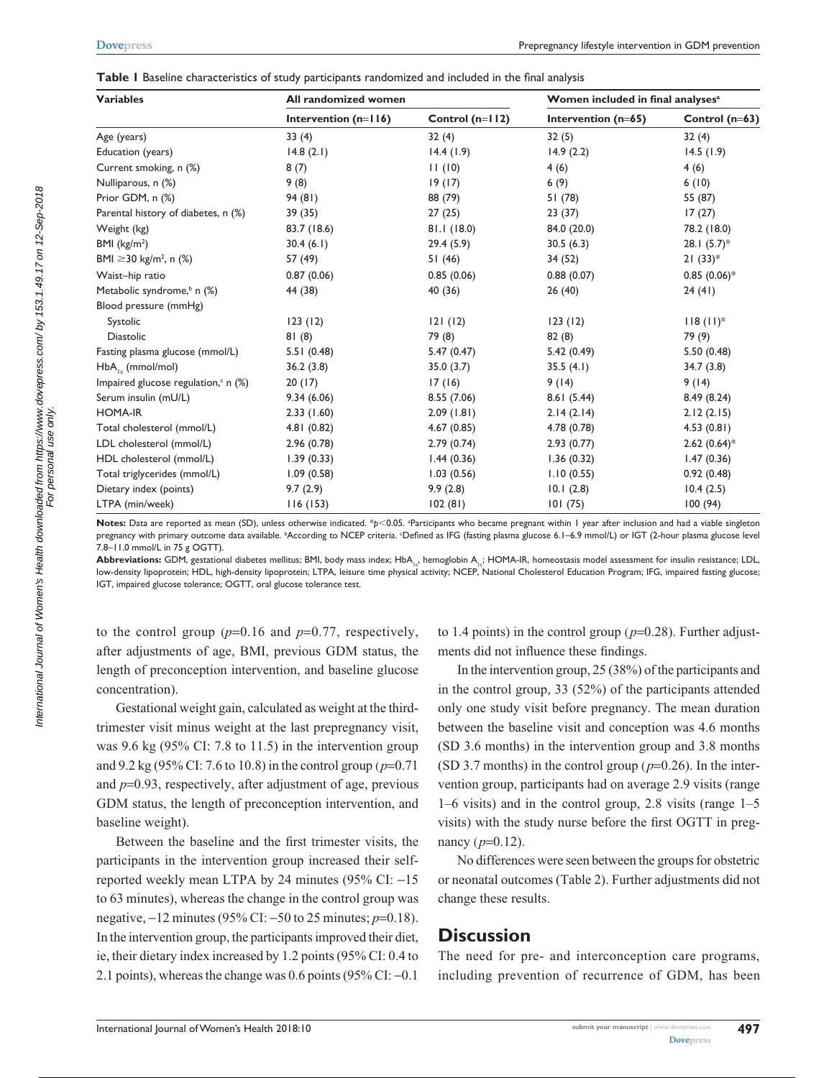| Table I Baseline characteristics of study participants randomized and included in the final analysis |  |  |  |  |  |  |  |  |  |  |
|------------------------------------------------------------------------------------------------------|--|--|--|--|--|--|--|--|--|--|
|------------------------------------------------------------------------------------------------------|--|--|--|--|--|--|--|--|--|--|

| <b>Variables</b>                                | All randomized women   |                   | Women included in final analyses <sup>a</sup> |                  |  |
|-------------------------------------------------|------------------------|-------------------|-----------------------------------------------|------------------|--|
|                                                 | Intervention $(n=116)$ | Control $(n=112)$ | Intervention (n=65)                           | Control $(n=63)$ |  |
| Age (years)                                     | 33(4)                  | 32(4)             | 32(5)                                         | 32(4)            |  |
| Education (years)                               | 14.8(2.1)              | 14.4(1.9)         | 14.9(2.2)                                     | 14.5(1.9)        |  |
| Current smoking, n (%)                          | 8(7)                   | 11(10)            | 4(6)                                          | 4(6)             |  |
| Nulliparous, n (%)                              | 9(8)                   | 19(17)            | 6(9)                                          | 6(10)            |  |
| Prior GDM, n (%)                                | 94(81)                 | 88 (79)           | 51(78)                                        | 55 (87)          |  |
| Parental history of diabetes, n (%)             | 39 (35)                | 27(25)            | 23(37)                                        | 17(27)           |  |
| Weight (kg)                                     | 83.7 (18.6)            | 81.1(18.0)        | 84.0 (20.0)                                   | 78.2 (18.0)      |  |
| BMI $(kg/m2)$                                   | 30.4(6.1)              | 29.4(5.9)         | 30.5(6.3)                                     | 28.1 $(5.7)^*$   |  |
| BMI $\geq$ 30 kg/m <sup>2</sup> , n (%)         | 57 (49)                | 51(46)            | 34 (52)                                       | $21(33)*$        |  |
| Waist-hip ratio                                 | 0.87(0.06)             | 0.85(0.06)        | 0.88(0.07)                                    | $0.85(0.06)*$    |  |
| Metabolic syndrome, <sup>b</sup> n (%)          | 44 (38)                | 40 (36)           | 26(40)                                        | 24(41)           |  |
| Blood pressure (mmHg)                           |                        |                   |                                               |                  |  |
| Systolic                                        | 123(12)                | 121(12)           | 123(12)                                       | $118 (11)^*$     |  |
| <b>Diastolic</b>                                | 81(8)                  | 79 (8)            | 82(8)                                         | 79 (9)           |  |
| Fasting plasma glucose (mmol/L)                 | 5.51(0.48)             | 5.47(0.47)        | 5.42(0.49)                                    | 5.50(0.48)       |  |
| $HbA_{1c}$ (mmol/mol)                           | 36.2(3.8)              | 35.0(3.7)         | 35.5(4.1)                                     | 34.7(3.8)        |  |
| Impaired glucose regulation, <sup>c</sup> n (%) | 20(17)                 | 17(16)            | 9(14)                                         | 9(14)            |  |
| Serum insulin (mU/L)                            | 9.34(6.06)             | 8.55 (7.06)       | 8.61(5.44)                                    | 8.49 (8.24)      |  |
| <b>HOMA-IR</b>                                  | 2.33(1.60)             | 2.09(1.81)        | 2.14(2.14)                                    | 2.12(2.15)       |  |
| Total cholesterol (mmol/L)                      | 4.81(0.82)             | 4.67(0.85)        | 4.78 (0.78)                                   | 4.53(0.81)       |  |
| LDL cholesterol (mmol/L)                        | 2.96(0.78)             | 2.79(0.74)        | 2.93(0.77)                                    | $2.62(0.64)$ *   |  |
| HDL cholesterol (mmol/L)                        | 1.39(0.33)             | 1.44(0.36)        | 1.36(0.32)                                    | 1.47(0.36)       |  |
| Total triglycerides (mmol/L)                    | 1.09(0.58)             | 1.03(0.56)        | 1.10(0.55)                                    | 0.92(0.48)       |  |
| Dietary index (points)                          | 9.7(2.9)               | 9.9(2.8)          | 10.1(2.8)                                     | 10.4(2.5)        |  |
| LTPA (min/week)                                 | 116(153)               | 102(81)           | 101(75)                                       | 100(94)          |  |

Notes: Data are reported as mean (SD), unless otherwise indicated. \*p<0.05. <sup>a</sup>Participants who became pregnant within 1 year after inclusion and had a viable singleton pregnancy with primary outcome data available. <sup>b</sup>According to NCEP criteria. Defined as IFG (fasting plasma glucose 6.1–6.9 mmol/L) or IGT (2-hour plasma glucose level 7.8–11.0 mmol/L in 75 g OGTT).

Abbreviations: GDM, gestational diabetes mellitus; BMI, body mass index; HbA<sub>1c</sub>, hemoglobin A<sub>1c</sub>; HOMA-IR, homeostasis model assessment for insulin resistance; LDL, low-density lipoprotein; HDL, high-density lipoprotein; LTPA, leisure time physical activity; NCEP, National Cholesterol Education Program; IFG, impaired fasting glucose; IGT, impaired glucose tolerance; OGTT, oral glucose tolerance test.

to the control group  $(p=0.16$  and  $p=0.77$ , respectively, after adjustments of age, BMI, previous GDM status, the length of preconception intervention, and baseline glucose concentration).

Gestational weight gain, calculated as weight at the thirdtrimester visit minus weight at the last prepregnancy visit, was 9.6 kg (95% CI: 7.8 to 11.5) in the intervention group and 9.2 kg (95% CI: 7.6 to 10.8) in the control group (*p*=0.71 and *p*=0.93, respectively, after adjustment of age, previous GDM status, the length of preconception intervention, and baseline weight).

Between the baseline and the first trimester visits, the participants in the intervention group increased their selfreported weekly mean LTPA by 24 minutes (95% CI: −15 to 63 minutes), whereas the change in the control group was negative, −12 minutes (95% CI: −50 to 25 minutes; *p*=0.18). In the intervention group, the participants improved their diet, ie, their dietary index increased by 1.2 points (95% CI: 0.4 to 2.1 points), whereas the change was 0.6 points (95% CI: −0.1

to 1.4 points) in the control group (*p*=0.28). Further adjustments did not influence these findings.

In the intervention group, 25 (38%) of the participants and in the control group, 33 (52%) of the participants attended only one study visit before pregnancy. The mean duration between the baseline visit and conception was 4.6 months (SD 3.6 months) in the intervention group and 3.8 months (SD 3.7 months) in the control group  $(p=0.26)$ . In the intervention group, participants had on average 2.9 visits (range 1–6 visits) and in the control group, 2.8 visits (range 1–5 visits) with the study nurse before the first OGTT in pregnancy  $(p=0.12)$ .

No differences were seen between the groups for obstetric or neonatal outcomes (Table 2). Further adjustments did not change these results.

## **Discussion**

The need for pre- and interconception care programs, including prevention of recurrence of GDM, has been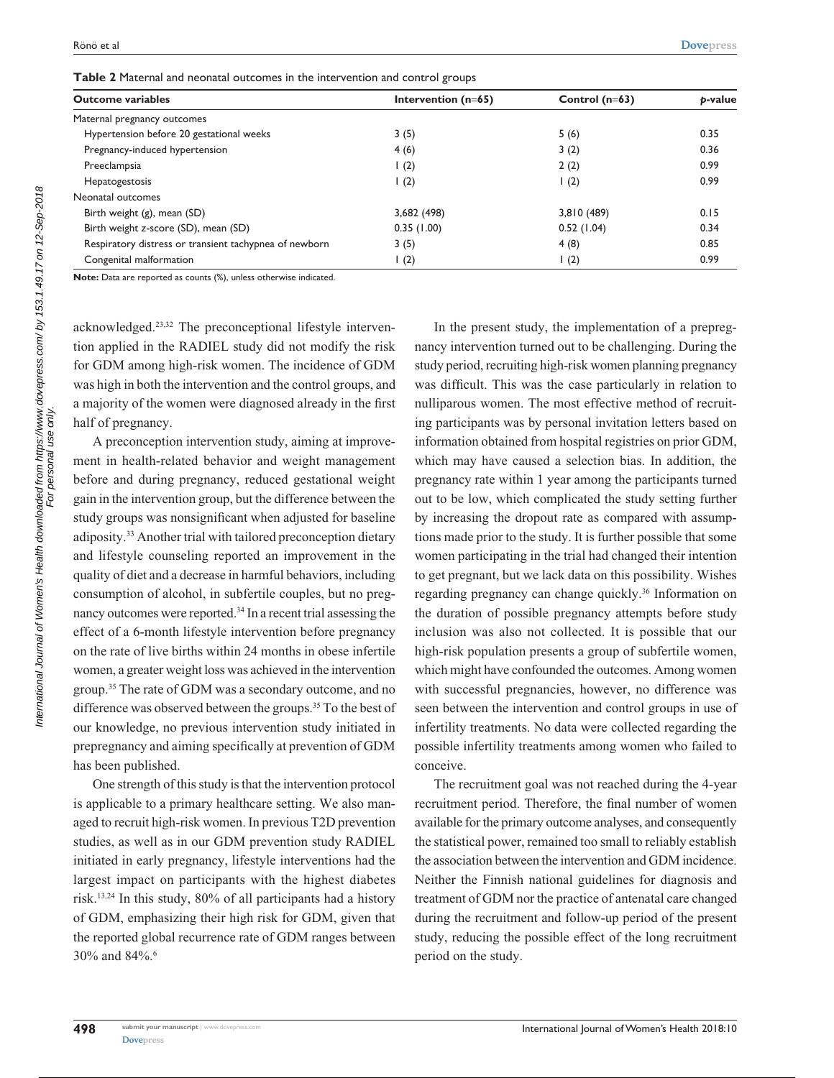| <b>Outcome variables</b>                               | Intervention $(n=65)$ | Control $(n=63)$ | p-value |  |
|--------------------------------------------------------|-----------------------|------------------|---------|--|
| Maternal pregnancy outcomes                            |                       |                  |         |  |
| Hypertension before 20 gestational weeks               | 3(5)                  | 5(6)             | 0.35    |  |
| Pregnancy-induced hypertension                         | 4(6)                  | 3(2)             | 0.36    |  |
| Preeclampsia                                           | $\binom{2}{}$         | 2(2)             | 0.99    |  |
| Hepatogestosis                                         | $\left( 2 \right)$    | $\binom{2}{2}$   | 0.99    |  |
| Neonatal outcomes                                      |                       |                  |         |  |
| Birth weight (g), mean (SD)                            | 3,682 (498)           | 3,810 (489)      | 0.15    |  |
| Birth weight z-score (SD), mean (SD)                   | 0.35(1.00)            | 0.52(1.04)       | 0.34    |  |
| Respiratory distress or transient tachypnea of newborn | 3(5)                  | 4(8)             | 0.85    |  |
| Congenital malformation                                | $\binom{2}{}$         | $\binom{2}{}$    | 0.99    |  |

**Table 2** Maternal and neonatal outcomes in the intervention and control groups

**Note:** Data are reported as counts (%), unless otherwise indicated.

acknowledged.23,32 The preconceptional lifestyle intervention applied in the RADIEL study did not modify the risk for GDM among high-risk women. The incidence of GDM was high in both the intervention and the control groups, and a majority of the women were diagnosed already in the first half of pregnancy.

A preconception intervention study, aiming at improvement in health-related behavior and weight management before and during pregnancy, reduced gestational weight gain in the intervention group, but the difference between the study groups was nonsignificant when adjusted for baseline adiposity.33 Another trial with tailored preconception dietary and lifestyle counseling reported an improvement in the quality of diet and a decrease in harmful behaviors, including consumption of alcohol, in subfertile couples, but no pregnancy outcomes were reported.34 In a recent trial assessing the effect of a 6-month lifestyle intervention before pregnancy on the rate of live births within 24 months in obese infertile women, a greater weight loss was achieved in the intervention group.35 The rate of GDM was a secondary outcome, and no difference was observed between the groups.<sup>35</sup> To the best of our knowledge, no previous intervention study initiated in prepregnancy and aiming specifically at prevention of GDM has been published.

One strength of this study is that the intervention protocol is applicable to a primary healthcare setting. We also managed to recruit high-risk women. In previous T2D prevention studies, as well as in our GDM prevention study RADIEL initiated in early pregnancy, lifestyle interventions had the largest impact on participants with the highest diabetes risk.13,24 In this study, 80% of all participants had a history of GDM, emphasizing their high risk for GDM, given that the reported global recurrence rate of GDM ranges between 30% and 84%.6

In the present study, the implementation of a prepregnancy intervention turned out to be challenging. During the study period, recruiting high-risk women planning pregnancy was difficult. This was the case particularly in relation to nulliparous women. The most effective method of recruiting participants was by personal invitation letters based on information obtained from hospital registries on prior GDM, which may have caused a selection bias. In addition, the pregnancy rate within 1 year among the participants turned out to be low, which complicated the study setting further by increasing the dropout rate as compared with assumptions made prior to the study. It is further possible that some women participating in the trial had changed their intention to get pregnant, but we lack data on this possibility. Wishes regarding pregnancy can change quickly.36 Information on the duration of possible pregnancy attempts before study inclusion was also not collected. It is possible that our high-risk population presents a group of subfertile women, which might have confounded the outcomes. Among women with successful pregnancies, however, no difference was seen between the intervention and control groups in use of infertility treatments. No data were collected regarding the possible infertility treatments among women who failed to conceive.

The recruitment goal was not reached during the 4-year recruitment period. Therefore, the final number of women available for the primary outcome analyses, and consequently the statistical power, remained too small to reliably establish the association between the intervention and GDM incidence. Neither the Finnish national guidelines for diagnosis and treatment of GDM nor the practice of antenatal care changed during the recruitment and follow-up period of the present study, reducing the possible effect of the long recruitment period on the study.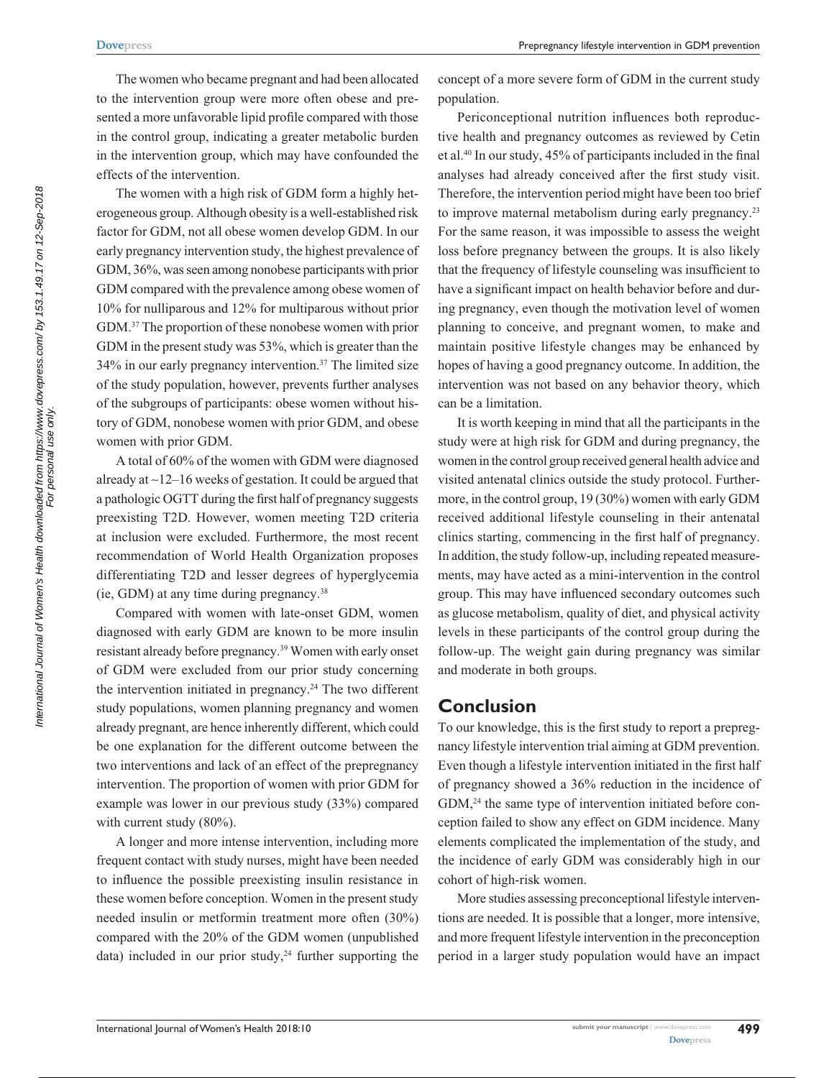The women who became pregnant and had been allocated to the intervention group were more often obese and presented a more unfavorable lipid profile compared with those in the control group, indicating a greater metabolic burden in the intervention group, which may have confounded the effects of the intervention.

The women with a high risk of GDM form a highly heterogeneous group. Although obesity is a well-established risk factor for GDM, not all obese women develop GDM. In our early pregnancy intervention study, the highest prevalence of GDM, 36%, was seen among nonobese participants with prior GDM compared with the prevalence among obese women of 10% for nulliparous and 12% for multiparous without prior GDM.37 The proportion of these nonobese women with prior GDM in the present study was 53%, which is greater than the 34% in our early pregnancy intervention.37 The limited size of the study population, however, prevents further analyses of the subgroups of participants: obese women without history of GDM, nonobese women with prior GDM, and obese women with prior GDM.

A total of 60% of the women with GDM were diagnosed already at ~12–16 weeks of gestation. It could be argued that a pathologic OGTT during the first half of pregnancy suggests preexisting T2D. However, women meeting T2D criteria at inclusion were excluded. Furthermore, the most recent recommendation of World Health Organization proposes differentiating T2D and lesser degrees of hyperglycemia (ie, GDM) at any time during pregnancy.38

Compared with women with late-onset GDM, women diagnosed with early GDM are known to be more insulin resistant already before pregnancy.39 Women with early onset of GDM were excluded from our prior study concerning the intervention initiated in pregnancy.<sup>24</sup> The two different study populations, women planning pregnancy and women already pregnant, are hence inherently different, which could be one explanation for the different outcome between the two interventions and lack of an effect of the prepregnancy intervention. The proportion of women with prior GDM for example was lower in our previous study (33%) compared with current study (80%).

A longer and more intense intervention, including more frequent contact with study nurses, might have been needed to influence the possible preexisting insulin resistance in these women before conception. Women in the present study needed insulin or metformin treatment more often (30%) compared with the 20% of the GDM women (unpublished data) included in our prior study, $24$  further supporting the

concept of a more severe form of GDM in the current study population.

Periconceptional nutrition influences both reproductive health and pregnancy outcomes as reviewed by Cetin et al.40 In our study, 45% of participants included in the final analyses had already conceived after the first study visit. Therefore, the intervention period might have been too brief to improve maternal metabolism during early pregnancy.<sup>23</sup> For the same reason, it was impossible to assess the weight loss before pregnancy between the groups. It is also likely that the frequency of lifestyle counseling was insufficient to have a significant impact on health behavior before and during pregnancy, even though the motivation level of women planning to conceive, and pregnant women, to make and maintain positive lifestyle changes may be enhanced by hopes of having a good pregnancy outcome. In addition, the intervention was not based on any behavior theory, which can be a limitation.

It is worth keeping in mind that all the participants in the study were at high risk for GDM and during pregnancy, the women in the control group received general health advice and visited antenatal clinics outside the study protocol. Furthermore, in the control group, 19 (30%) women with early GDM received additional lifestyle counseling in their antenatal clinics starting, commencing in the first half of pregnancy. In addition, the study follow-up, including repeated measurements, may have acted as a mini-intervention in the control group. This may have influenced secondary outcomes such as glucose metabolism, quality of diet, and physical activity levels in these participants of the control group during the follow-up. The weight gain during pregnancy was similar and moderate in both groups.

#### **Conclusion**

To our knowledge, this is the first study to report a prepregnancy lifestyle intervention trial aiming at GDM prevention. Even though a lifestyle intervention initiated in the first half of pregnancy showed a 36% reduction in the incidence of GDM,<sup>24</sup> the same type of intervention initiated before conception failed to show any effect on GDM incidence. Many elements complicated the implementation of the study, and the incidence of early GDM was considerably high in our cohort of high-risk women.

More studies assessing preconceptional lifestyle interventions are needed. It is possible that a longer, more intensive, and more frequent lifestyle intervention in the preconception period in a larger study population would have an impact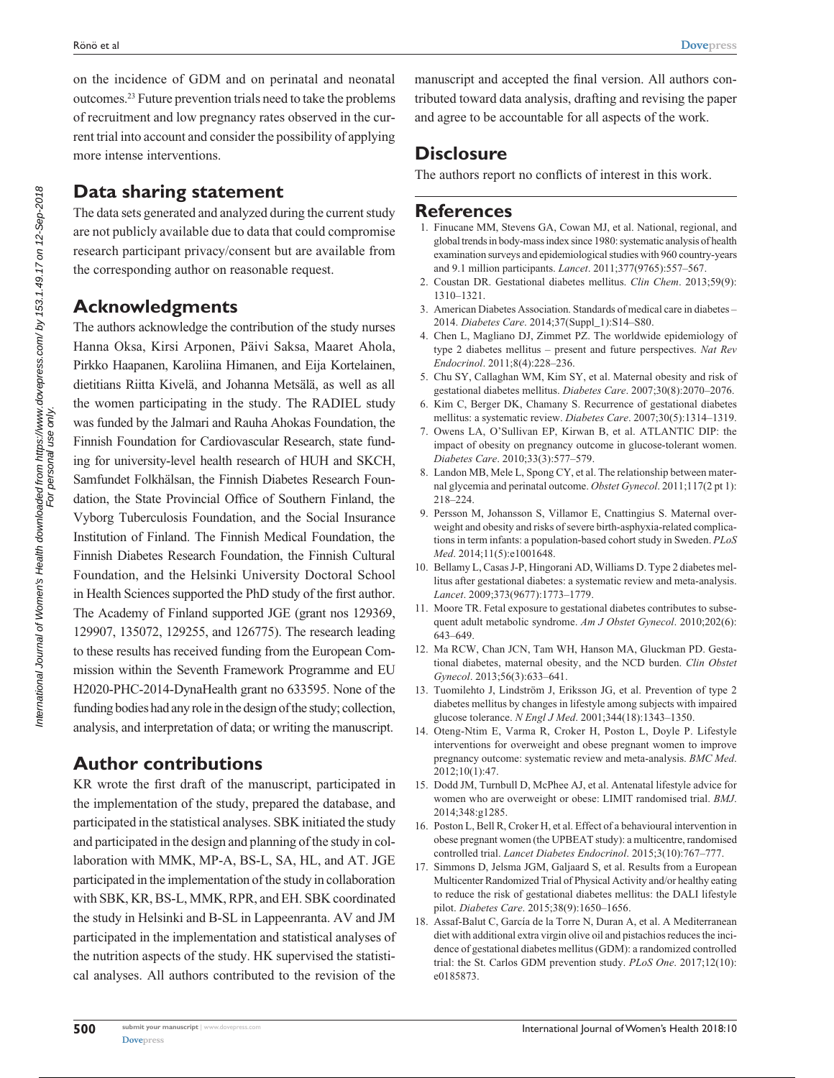on the incidence of GDM and on perinatal and neonatal outcomes.23 Future prevention trials need to take the problems of recruitment and low pregnancy rates observed in the current trial into account and consider the possibility of applying more intense interventions.

## **Data sharing statement**

The data sets generated and analyzed during the current study are not publicly available due to data that could compromise research participant privacy/consent but are available from the corresponding author on reasonable request.

# **Acknowledgments**

The authors acknowledge the contribution of the study nurses Hanna Oksa, Kirsi Arponen, Päivi Saksa, Maaret Ahola, Pirkko Haapanen, Karoliina Himanen, and Eija Kortelainen, dietitians Riitta Kivelä, and Johanna Metsälä, as well as all the women participating in the study. The RADIEL study was funded by the Jalmari and Rauha Ahokas Foundation, the Finnish Foundation for Cardiovascular Research, state funding for university-level health research of HUH and SKCH, Samfundet Folkhälsan, the Finnish Diabetes Research Foundation, the State Provincial Office of Southern Finland, the Vyborg Tuberculosis Foundation, and the Social Insurance Institution of Finland. The Finnish Medical Foundation, the Finnish Diabetes Research Foundation, the Finnish Cultural Foundation, and the Helsinki University Doctoral School in Health Sciences supported the PhD study of the first author. The Academy of Finland supported JGE (grant nos 129369, 129907, 135072, 129255, and 126775). The research leading to these results has received funding from the European Commission within the Seventh Framework Programme and EU H2020-PHC-2014-DynaHealth grant no 633595. None of the funding bodies had any role in the design of the study; collection, analysis, and interpretation of data; or writing the manuscript.

# **Author contributions**

KR wrote the first draft of the manuscript, participated in the implementation of the study, prepared the database, and participated in the statistical analyses. SBK initiated the study and participated in the design and planning of the study in collaboration with MMK, MP-A, BS-L, SA, HL, and AT. JGE participated in the implementation of the study in collaboration with SBK, KR, BS-L, MMK, RPR, and EH. SBK coordinated the study in Helsinki and B-SL in Lappeenranta. AV and JM participated in the implementation and statistical analyses of the nutrition aspects of the study. HK supervised the statistical analyses. All authors contributed to the revision of the manuscript and accepted the final version. All authors contributed toward data analysis, drafting and revising the paper and agree to be accountable for all aspects of the work.

# **Disclosure**

The authors report no conflicts of interest in this work.

## **References**

- 1. Finucane MM, Stevens GA, Cowan MJ, et al. National, regional, and global trends in body-mass index since 1980: systematic analysis of health examination surveys and epidemiological studies with 960 country-years and 9.1 million participants. *Lancet*. 2011;377(9765):557–567.
- 2. Coustan DR. Gestational diabetes mellitus. *Clin Chem*. 2013;59(9): 1310–1321.
- 3. American Diabetes Association. Standards of medical care in diabetes 2014. *Diabetes Care*. 2014;37(Suppl\_1):S14–S80.
- 4. Chen L, Magliano DJ, Zimmet PZ. The worldwide epidemiology of type 2 diabetes mellitus – present and future perspectives. *Nat Rev Endocrinol*. 2011;8(4):228–236.
- 5. Chu SY, Callaghan WM, Kim SY, et al. Maternal obesity and risk of gestational diabetes mellitus. *Diabetes Care*. 2007;30(8):2070–2076.
- 6. Kim C, Berger DK, Chamany S. Recurrence of gestational diabetes mellitus: a systematic review. *Diabetes Care*. 2007;30(5):1314–1319.
- 7. Owens LA, O'Sullivan EP, Kirwan B, et al. ATLANTIC DIP: the impact of obesity on pregnancy outcome in glucose-tolerant women. *Diabetes Care*. 2010;33(3):577–579.
- 8. Landon MB, Mele L, Spong CY, et al. The relationship between maternal glycemia and perinatal outcome. *Obstet Gynecol*. 2011;117(2 pt 1): 218–224.
- 9. Persson M, Johansson S, Villamor E, Cnattingius S. Maternal overweight and obesity and risks of severe birth-asphyxia-related complications in term infants: a population-based cohort study in Sweden. *PLoS Med*. 2014;11(5):e1001648.
- 10. Bellamy L, Casas J-P, Hingorani AD, Williams D. Type 2 diabetes mellitus after gestational diabetes: a systematic review and meta-analysis. *Lancet*. 2009;373(9677):1773–1779.
- 11. Moore TR. Fetal exposure to gestational diabetes contributes to subsequent adult metabolic syndrome. *Am J Obstet Gynecol*. 2010;202(6): 643–649.
- 12. Ma RCW, Chan JCN, Tam WH, Hanson MA, Gluckman PD. Gestational diabetes, maternal obesity, and the NCD burden. *Clin Obstet Gynecol*. 2013;56(3):633–641.
- 13. Tuomilehto J, Lindström J, Eriksson JG, et al. Prevention of type 2 diabetes mellitus by changes in lifestyle among subjects with impaired glucose tolerance. *N Engl J Med*. 2001;344(18):1343–1350.
- 14. Oteng-Ntim E, Varma R, Croker H, Poston L, Doyle P. Lifestyle interventions for overweight and obese pregnant women to improve pregnancy outcome: systematic review and meta-analysis. *BMC Med*. 2012;10(1):47.
- 15. Dodd JM, Turnbull D, McPhee AJ, et al. Antenatal lifestyle advice for women who are overweight or obese: LIMIT randomised trial. *BMJ*. 2014;348:g1285.
- 16. Poston L, Bell R, Croker H, et al. Effect of a behavioural intervention in obese pregnant women (the UPBEAT study): a multicentre, randomised controlled trial. *Lancet Diabetes Endocrinol*. 2015;3(10):767–777.
- 17. Simmons D, Jelsma JGM, Galjaard S, et al. Results from a European Multicenter Randomized Trial of Physical Activity and/or healthy eating to reduce the risk of gestational diabetes mellitus: the DALI lifestyle pilot. *Diabetes Care*. 2015;38(9):1650–1656.
- 18. Assaf-Balut C, García de la Torre N, Duran A, et al. A Mediterranean diet with additional extra virgin olive oil and pistachios reduces the incidence of gestational diabetes mellitus (GDM): a randomized controlled trial: the St. Carlos GDM prevention study. *PLoS One*. 2017;12(10): e0185873.

**500**